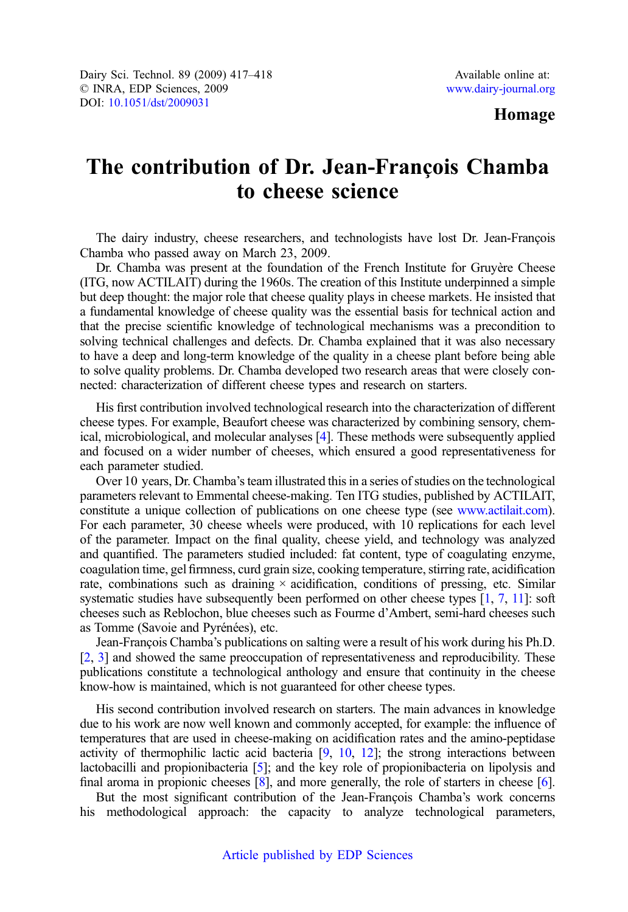## Homage

## The contribution of Dr. Jean-Francois Chamba to cheese science

The dairy industry, cheese researchers, and technologists have lost Dr. Jean-François Chamba who passed away on March 23, 2009.

Dr. Chamba was present at the foundation of the French Institute for Gruyère Cheese (ITG, now ACTILAIT) during the 1960s. The creation of this Institute underpinned a simple but deep thought: the major role that cheese quality plays in cheese markets. He insisted that a fundamental knowledge of cheese quality was the essential basis for technical action and that the precise scientific knowledge of technological mechanisms was a precondition to solving technical challenges and defects. Dr. Chamba explained that it was also necessary to have a deep and long-term knowledge of the quality in a cheese plant before being able to solve quality problems. Dr. Chamba developed two research areas that were closely connected: characterization of different cheese types and research on starters.

His first contribution involved technological research into the characterization of different cheese types. For example, Beaufort cheese was characterized by combining sensory, chemical, microbiological, and molecular analyses [\[4](#page-1-0)]. These methods were subsequently applied and focused on a wider number of cheeses, which ensured a good representativeness for each parameter studied.

Over 10 years, Dr. Chamba's team illustrated this in a series of studies on the technological parameters relevant to Emmental cheese-making. Ten ITG studies, published by ACTILAIT, constitute a unique collection of publications on one cheese type (see [www.actilait.com](http://www.actilait.com)). For each parameter, 30 cheese wheels were produced, with 10 replications for each level of the parameter. Impact on the final quality, cheese yield, and technology was analyzed and quantified. The parameters studied included: fat content, type of coagulating enzyme, coagulation time, gel firmness, curd grain size, cooking temperature, stirring rate, acidification rate, combinations such as draining  $\times$  acidification, conditions of pressing, etc. Similar systematic studies have subsequently been performed on other cheese types [\[1,](#page-1-0) [7,](#page-1-0) [11\]](#page-1-0): soft cheeses such as Reblochon, blue cheeses such as Fourme d'Ambert, semi-hard cheeses such as Tomme (Savoie and Pyrénées), etc.

Jean-François Chamba's publications on salting were a result of his work during his Ph.D. [[2](#page-1-0), [3\]](#page-1-0) and showed the same preoccupation of representativeness and reproducibility. These publications constitute a technological anthology and ensure that continuity in the cheese know-how is maintained, which is not guaranteed for other cheese types.

His second contribution involved research on starters. The main advances in knowledge due to his work are now well known and commonly accepted, for example: the influence of temperatures that are used in cheese-making on acidification rates and the amino-peptidase activity of thermophilic lactic acid bacteria  $[9, 10, 12]$  $[9, 10, 12]$  $[9, 10, 12]$  $[9, 10, 12]$  $[9, 10, 12]$  $[9, 10, 12]$  $[9, 10, 12]$ ; the strong interactions between lactobacilli and propionibacteria [\[5](#page-1-0)]; and the key role of propionibacteria on lipolysis and final aroma in propionic cheeses [[8\]](#page-1-0), and more generally, the role of starters in cheese [\[6](#page-1-0)].

But the most significant contribution of the Jean-François Chamba's work concerns his methodological approach: the capacity to analyze technological parameters,